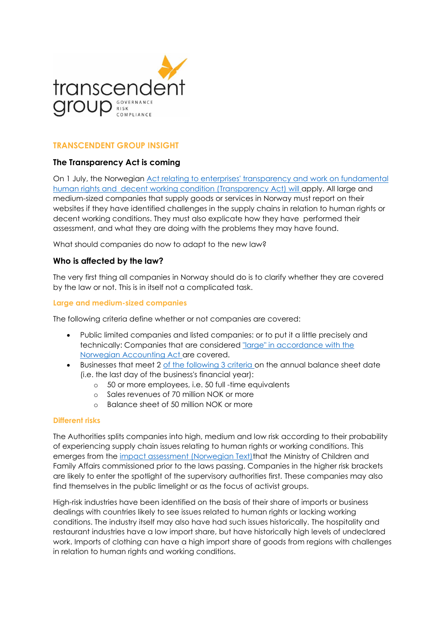

# **TRANSCENDENT GROUP INSIGHT**

# **The Transparency Act is coming**

On 1 July, the Norwegian [Act relating to enterprises' transparency and work](https://lovdata.no/dokument/NLE/lov/2021-06-18-99) on fundamental [human rights and decent working condition \(Transparency](https://lovdata.no/dokument/NLE/lov/2021-06-18-99) Act) will apply. All large and medium-sized companies that supply goods or services in Norway must report on their websites if they have identified challenges in the supply chains in relation to human rights or decent working conditions. They must also explicate how they have performed their assessment, and what they are doing with the problems they may have found.

What should companies do now to adapt to the new law?

## **Who is affected by the law?**

The very first thing all companies in Norway should do is to clarify whether they are covered by the law or not. This is in itself not a complicated task.

#### **Large and medium-sized companies**

The following criteria define whether or not companies are covered:

- Public limited companies and listed companies: or to put it a little precisely and technically: Companies that are considered ["large" in accordance with the](https://lovdata.no/lov/1998-07-17-56/§1-5)  [Norwegian Accounting Act a](https://lovdata.no/lov/1998-07-17-56/§1-5)re covered.
- Businesses that meet 2 [of the following 3 criteria o](https://lovdata.no/NLE/lov/2021-06-18-99/§3)n the annual balance sheet date (i.e. the last day of the business's financial year):
	- o 50 or more employees, i.e. 50 full -time equivalents
	- o Sales revenues of 70 million NOK or more
	- o Balance sheet of 50 million NOK or more

#### **Different risks**

The Authorities splits companies into high, medium and low risk according to their probability of experiencing supply chain issues relating to human rights or working conditions. This emerges from the [impact assessment \(Norwegian Text\)t](https://www.regjeringen.no/no/dokumentarkiv/regjeringen-solberg/andre-dokumenter/bfd/2021/konsekvensutredning-av-forslag-til-ny-apenhetslov/id2835860/)hat the Ministry of Children and Family Affairs commissioned prior to the laws passing. Companies in the higher risk brackets are likely to enter the spotlight of the supervisory authorities first. These companies may also find themselves in the public limelight or as the focus of activist groups.

High-risk industries have been identified on the basis of their share of imports or business dealings with countries likely to see issues related to human rights or lacking working conditions. The industry itself may also have had such issues historically. The hospitality and restaurant industries have a low import share, but have historically high levels of undeclared work. Imports of clothing can have a high import share of goods from regions with challenges in relation to human rights and working conditions.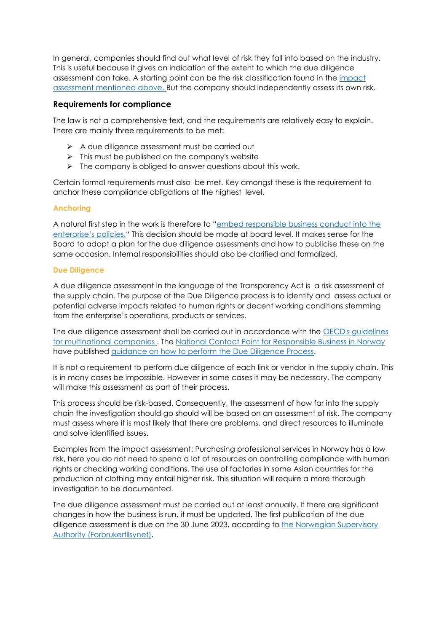In general, companies should find out what level of risk they fall into based on the industry. This is useful because it gives an indication of the extent to which the due diligence assessment can take. A starting point can be the risk classification found in the impact [assessment mentioned above. B](https://www.regjeringen.no/no/dokumentarkiv/regjeringen-solberg/andre-dokumenter/bfd/2021/konsekvensutredning-av-forslag-til-ny-apenhetslov/id2835860/)ut the company should independently assess its own risk.

## **Requirements for compliance**

The law is not a comprehensive text, and the requirements are relatively easy to explain. There are mainly three requirements to be met:

- ➢ A due diligence assessment must be carried out
- $\triangleright$  This must be published on the company's website
- ➢ The company is obliged to answer questions about this work.

Certain formal requirements must also be met. Key amongst these is the requirement to anchor these compliance obligations at the highest level.

# **Anchoring**

A natural first step in the work is therefore to "[embed responsible business conduct into the](https://lovdata.no/NLE/lov/2021-06-18-99/§4)  [enterprise's policies."](https://lovdata.no/NLE/lov/2021-06-18-99/§4) This decision should be made at board level. It makes sense for the Board to adopt a plan for the due diligence assessments and how to publicise these on the same occasion. Internal responsibilities should also be clarified and formalized.

## **Due Diligence**

A due diligence assessment in the language of the Transparency Act is a risk assessment of the supply chain. The purpose of the Due Diligence process is to identify and assess actual or potential adverse impacts related to human rights or decent working conditions stemming from the enterprise's operations, products or services.

The due diligence assessment shall be carried out in accordance with the [OECD's guidelines](https://mneguidelines.oecd.org/mneguidelines/)  [for multinational companies .](https://mneguidelines.oecd.org/mneguidelines/) The [National Contact Point for Responsible Business](https://www.responsiblebusiness.no/en/) in Norway have published [guidance on how to perform the Due Diligence Process.](https://www.responsiblebusiness.no/the-due-diligence-method/)

It is not a requirement to perform due diligence of each link or vendor in the supply chain. This is in many cases be impossible. However in some cases it may be necessary. The company will make this assessment as part of their process.

This process should be risk-based. Consequently, the assessment of how far into the supply chain the investigation should go should will be based on an assessment of risk. The company must assess where it is most likely that there are problems, and direct resources to illuminate and solve identified issues.

Examples from the impact assessment: Purchasing professional services in Norway has a low risk, here you do not need to spend a lot of resources on controlling compliance with human rights or checking working conditions. The use of factories in some Asian countries for the production of clothing may entail higher risk. This situation will require a more thorough investigation to be documented.

The due diligence assessment must be carried out at least annually. If there are significant changes in how the business is run, it must be updated. The first publication of the due diligence assessment is due on the 30 June 2023, according to the Norwegian Supervisory [Authority \(Forbrukertilsynet\).](https://www.forbrukertilsynet.no/english)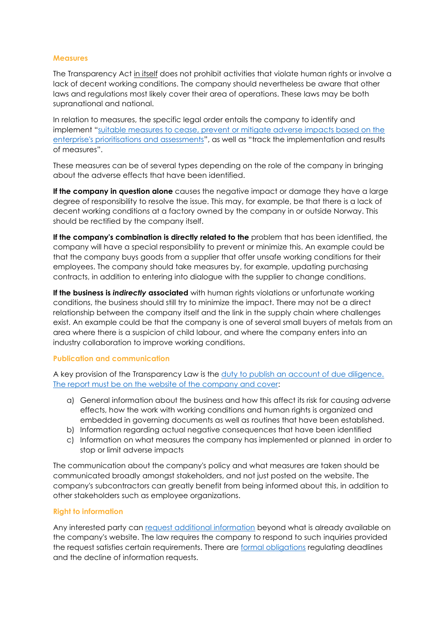#### **Measures**

The Transparency Act in itself does not prohibit activities that violate human rights or involve a lack of decent working conditions. The company should nevertheless be aware that other laws and regulations most likely cover their area of operations. These laws may be both supranational and national.

In relation to measures, the specific legal order entails the company to identify and implement "[suitable measures to cease, prevent or mitigate adverse impacts based on the](https://lovdata.no/NLE/lov/2021-06-18-99/§4)  [enterprise's prioritisations and assessments](https://lovdata.no/NLE/lov/2021-06-18-99/§4)", as well as "track the implementation and results of measures".

These measures can be of several types depending on the role of the company in bringing about the adverse effects that have been identified.

**If the company in question alone** causes the negative impact or damage they have a large degree of responsibility to resolve the issue. This may, for example, be that there is a lack of decent working conditions at a factory owned by the company in or outside Norway. This should be rectified by the company itself.

If the company's combination is directly related to the problem that has been identified, the company will have a special responsibility to prevent or minimize this. An example could be that the company buys goods from a supplier that offer unsafe working conditions for their employees. The company should take measures by, for example, updating purchasing contracts, in addition to entering into dialogue with the supplier to change conditions.

**If the business is** *indirectly* **associated** with human rights violations or unfortunate working conditions, the business should still try to minimize the impact. There may not be a direct relationship between the company itself and the link in the supply chain where challenges exist. An example could be that the company is one of several small buyers of metals from an area where there is a suspicion of child labour, and where the company enters into an industry collaboration to improve working conditions.

#### **Publication and communication**

A key provision of the Transparency Law is the [duty to publish an account of due diligence.](https://lovdata.no/NLE/lov/2021-06-18-99/§5)  [The report must be on the website of the company and cover:](https://lovdata.no/NLE/lov/2021-06-18-99/§5)

- a) General information about the business and how this affect its risk for causing adverse effects, how the work with working conditions and human rights is organized and embedded in governing documents as well as routines that have been established.
- b) Information regarding actual negative consequences that have been identified
- c) Information on what measures the company has implemented or planned in order to stop or limit adverse impacts

The communication about the company's policy and what measures are taken should be communicated broadly amongst stakeholders, and not just posted on the website. The company's subcontractors can greatly benefit from being informed about this, in addition to other stakeholders such as employee organizations.

#### **Right to information**

Any interested party can [request additional information](https://lovdata.no/NLE/lov/2021-06-18-99/§6) beyond what is already available on the company's website. The law requires the company to respond to such inquiries provided the request satisfies certain requirements. There are [formal obligations](https://lovdata.no/NLE/lov/2021-06-18-99/§7) regulating deadlines and the decline of information requests.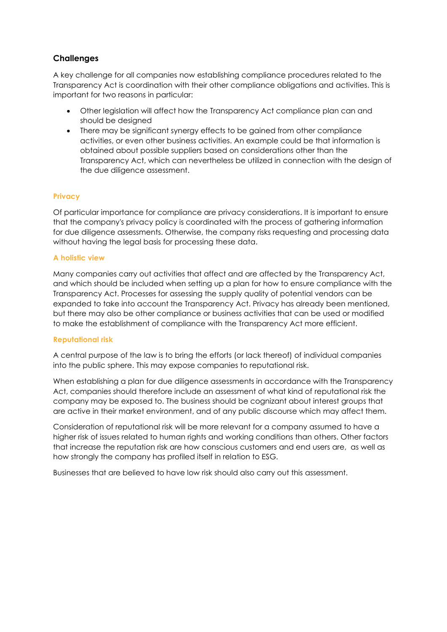# **Challenges**

A key challenge for all companies now establishing compliance procedures related to the Transparency Act is coordination with their other compliance obligations and activities. This is important for two reasons in particular:

- Other legislation will affect how the Transparency Act compliance plan can and should be designed
- There may be significant synergy effects to be gained from other compliance activities, or even other business activities. An example could be that information is obtained about possible suppliers based on considerations other than the Transparency Act, which can nevertheless be utilized in connection with the design of the due diligence assessment.

### **Privacy**

Of particular importance for compliance are privacy considerations. It is important to ensure that the company's privacy policy is coordinated with the process of gathering information for due diligence assessments. Otherwise, the company risks requesting and processing data without having the legal basis for processing these data.

### **A holistic view**

Many companies carry out activities that affect and are affected by the Transparency Act, and which should be included when setting up a plan for how to ensure compliance with the Transparency Act. Processes for assessing the supply quality of potential vendors can be expanded to take into account the Transparency Act. Privacy has already been mentioned, but there may also be other compliance or business activities that can be used or modified to make the establishment of compliance with the Transparency Act more efficient.

#### **Reputational risk**

A central purpose of the law is to bring the efforts (or lack thereof) of individual companies into the public sphere. This may expose companies to reputational risk.

When establishing a plan for due diligence assessments in accordance with the Transparency Act, companies should therefore include an assessment of what kind of reputational risk the company may be exposed to. The business should be cognizant about interest groups that are active in their market environment, and of any public discourse which may affect them.

Consideration of reputational risk will be more relevant for a company assumed to have a higher risk of issues related to human rights and working conditions than others. Other factors that increase the reputation risk are how conscious customers and end users are, as well as how strongly the company has profiled itself in relation to ESG.

Businesses that are believed to have low risk should also carry out this assessment.